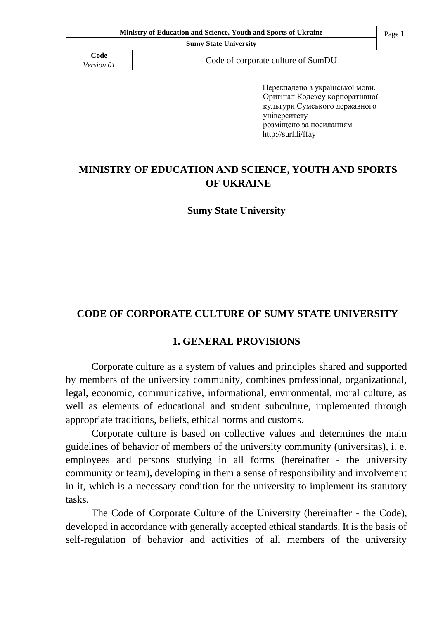| <b>Ministry of Education and Science, Youth and Sports of Ukraine</b> |                                    | Page 1 |
|-----------------------------------------------------------------------|------------------------------------|--------|
|                                                                       | <b>Sumy State University</b>       |        |
| Code<br><i>Version 01</i>                                             | Code of corporate culture of SumDU |        |

Перекладено з української мови. Оригінал Кодексу корпоративної культури Сумського державного університету розміщено за посиланням http://surl.li/ffay

## **MINISTRY OF EDUCATION AND SCIENCE, YOUTH AND SPORTS OF UKRAINE**

**Sumy State University**

### **CODE OF CORPORATE CULTURE OF SUMY STATE UNIVERSITY**

#### **1. GENERAL PROVISIONS**

Corporate culture as a system of values and principles shared and supported by members of the university community, combines professional, organizational, legal, economic, communicative, informational, environmental, moral culture, as well as elements of educational and student subculture, implemented through appropriate traditions, beliefs, ethical norms and customs.

Corporate culture is based on collective values and determines the main guidelines of behavior of members of the university community (universitas), i. e. employees and persons studying in all forms (hereinafter - the university community or team), developing in them a sense of responsibility and involvement in it, which is a necessary condition for the university to implement its statutory tasks.

The Code of Corporate Culture of the University (hereinafter - the Code), developed in accordance with generally accepted ethical standards. It is the basis of self-regulation of behavior and activities of all members of the university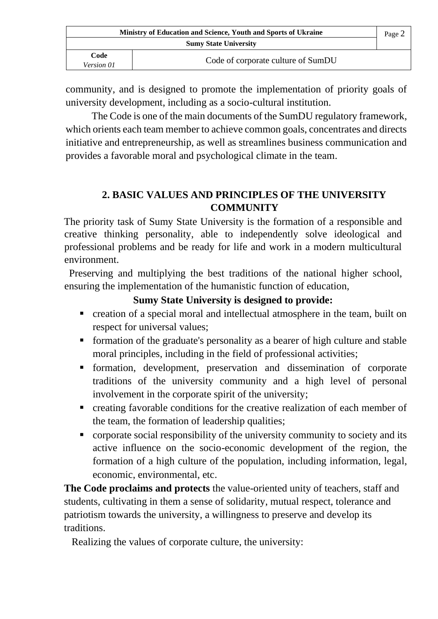| Ministry of Education and Science, Youth and Sports of Ukraine |                                    | Page 2 |
|----------------------------------------------------------------|------------------------------------|--------|
| <b>Sumy State University</b>                                   |                                    |        |
| Code<br>Version 01                                             | Code of corporate culture of SumDU |        |

community, and is designed to promote the implementation of priority goals of university development, including as a socio-cultural institution.

The Code is one of the main documents of the SumDU regulatory framework, which orients each team member to achieve common goals, concentrates and directs initiative and entrepreneurship, as well as streamlines business communication and provides a favorable moral and psychological climate in the team.

## **2. BASIC VALUES AND PRINCIPLES OF THE UNIVERSITY COMMUNITY**

The priority task of Sumy State University is the formation of a responsible and creative thinking personality, able to independently solve ideological and professional problems and be ready for life and work in a modern multicultural environment.

 Preserving and multiplying the best traditions of the national higher school, ensuring the implementation of the humanistic function of education,

### **Sumy State University is designed to provide:**

- creation of a special moral and intellectual atmosphere in the team, built on respect for universal values;
- formation of the graduate's personality as a bearer of high culture and stable moral principles, including in the field of professional activities;
- **•** formation, development, preservation and dissemination of corporate traditions of the university community and a high level of personal involvement in the corporate spirit of the university;
- creating favorable conditions for the creative realization of each member of the team, the formation of leadership qualities;
- corporate social responsibility of the university community to society and its active influence on the socio-economic development of the region, the formation of a high culture of the population, including information, legal, economic, environmental, etc.

**The Code proclaims and protects** the value-oriented unity of teachers, staff and students, cultivating in them a sense of solidarity, mutual respect, tolerance and patriotism towards the university, a willingness to preserve and develop its traditions.

Realizing the values of corporate culture, the university: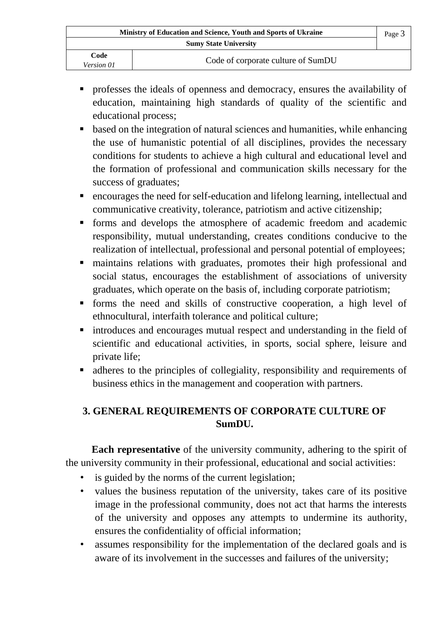| Ministry of Education and Science, Youth and Sports of Ukraine |                                    | Page 3 |
|----------------------------------------------------------------|------------------------------------|--------|
| <b>Sumy State University</b>                                   |                                    |        |
| Code<br>Version 01                                             | Code of corporate culture of SumDU |        |

- professes the ideals of openness and democracy, ensures the availability of education, maintaining high standards of quality of the scientific and educational process;
- based on the integration of natural sciences and humanities, while enhancing the use of humanistic potential of all disciplines, provides the necessary conditions for students to achieve a high cultural and educational level and the formation of professional and communication skills necessary for the success of graduates;
- encourages the need for self-education and lifelong learning, intellectual and communicative creativity, tolerance, patriotism and active citizenship;
- **•** forms and develops the atmosphere of academic freedom and academic responsibility, mutual understanding, creates conditions conducive to the realization of intellectual, professional and personal potential of employees;
- maintains relations with graduates, promotes their high professional and social status, encourages the establishment of associations of university graduates, which operate on the basis of, including corporate patriotism;
- forms the need and skills of constructive cooperation, a high level of ethnocultural, interfaith tolerance and political culture;
- introduces and encourages mutual respect and understanding in the field of scientific and educational activities, in sports, social sphere, leisure and private life;
- adheres to the principles of collegiality, responsibility and requirements of business ethics in the management and cooperation with partners.

# **3. GENERAL REQUIREMENTS OF CORPORATE CULTURE OF SumDU.**

**Each representative** of the university community, adhering to the spirit of the university community in their professional, educational and social activities:

- is guided by the norms of the current legislation;
- values the business reputation of the university, takes care of its positive image in the professional community, does not act that harms the interests of the university and opposes any attempts to undermine its authority, ensures the confidentiality of official information;
- assumes responsibility for the implementation of the declared goals and is aware of its involvement in the successes and failures of the university;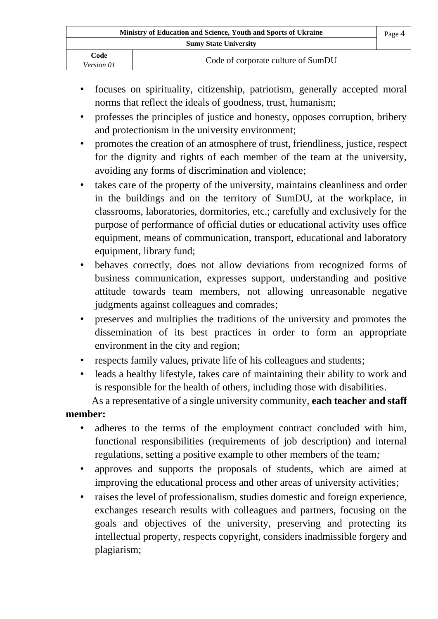| Ministry of Education and Science, Youth and Sports of Ukraine |                                    | Page 4 |
|----------------------------------------------------------------|------------------------------------|--------|
| <b>Sumy State University</b>                                   |                                    |        |
| Code<br><i>Version 01</i>                                      | Code of corporate culture of SumDU |        |

- focuses on spirituality, citizenship, patriotism, generally accepted moral norms that reflect the ideals of goodness, trust, humanism;
- professes the principles of justice and honesty, opposes corruption, bribery and protectionism in the university environment;
- promotes the creation of an atmosphere of trust, friendliness, justice, respect for the dignity and rights of each member of the team at the university, avoiding any forms of discrimination and violence;
- takes care of the property of the university, maintains cleanliness and order in the buildings and on the territory of SumDU, at the workplace, in classrooms, laboratories, dormitories, etc.; carefully and exclusively for the purpose of performance of official duties or educational activity uses office equipment, means of communication, transport, educational and laboratory equipment, library fund;
- behaves correctly, does not allow deviations from recognized forms of business communication, expresses support, understanding and positive attitude towards team members, not allowing unreasonable negative judgments against colleagues and comrades;
- preserves and multiplies the traditions of the university and promotes the dissemination of its best practices in order to form an appropriate environment in the city and region;
- respects family values, private life of his colleagues and students;
- leads a healthy lifestyle, takes care of maintaining their ability to work and is responsible for the health of others, including those with disabilities.

As a representative of a single university community, **each teacher and staff** 

#### **member:**

- adheres to the terms of the employment contract concluded with him, functional responsibilities (requirements of job description) and internal regulations, setting a positive example to other members of the team*;*
- approves and supports the proposals of students, which are aimed at improving the educational process and other areas of university activities;
- raises the level of professionalism, studies domestic and foreign experience, exchanges research results with colleagues and partners, focusing on the goals and objectives of the university, preserving and protecting its intellectual property, respects copyright, considers inadmissible forgery and plagiarism;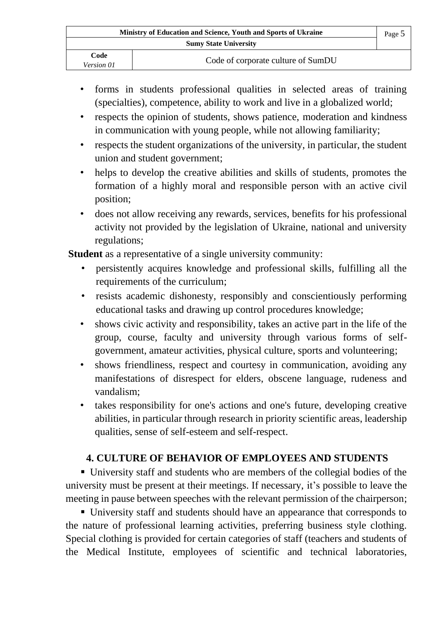| Ministry of Education and Science, Youth and Sports of Ukraine |                                    | Page 5 |
|----------------------------------------------------------------|------------------------------------|--------|
|                                                                | <b>Sumy State University</b>       |        |
| Code<br><i>Version</i> 01                                      | Code of corporate culture of SumDU |        |

- forms in students professional qualities in selected areas of training (specialties), competence, ability to work and live in a globalized world;
- respects the opinion of students, shows patience, moderation and kindness in communication with young people, while not allowing familiarity;
- respects the student organizations of the university, in particular, the student union and student government;
- helps to develop the creative abilities and skills of students, promotes the formation of a highly moral and responsible person with an active civil position;
- does not allow receiving any rewards, services, benefits for his professional activity not provided by the legislation of Ukraine, national and university regulations;

**Student** as a representative of a single university community:

- persistently acquires knowledge and professional skills, fulfilling all the requirements of the curriculum;
- resists academic dishonesty, responsibly and conscientiously performing educational tasks and drawing up control procedures knowledge;
- shows civic activity and responsibility, takes an active part in the life of the group, course, faculty and university through various forms of selfgovernment, amateur activities, physical culture, sports and volunteering;
- shows friendliness, respect and courtesy in communication, avoiding any manifestations of disrespect for elders, obscene language, rudeness and vandalism;
- takes responsibility for one's actions and one's future, developing creative abilities, in particular through research in priority scientific areas, leadership qualities, sense of self-esteem and self-respect.

## **4. CULTURE OF BEHAVIOR OF EMPLOYEES AND STUDENTS**

▪ University staff and students who are members of the collegial bodies of the university must be present at their meetings. If necessary, it's possible to leave the meeting in pause between speeches with the relevant permission of the chairperson;

▪ University staff and students should have an appearance that corresponds to the nature of professional learning activities, preferring business style clothing. Special clothing is provided for certain categories of staff (teachers and students of the Medical Institute, employees of scientific and technical laboratories,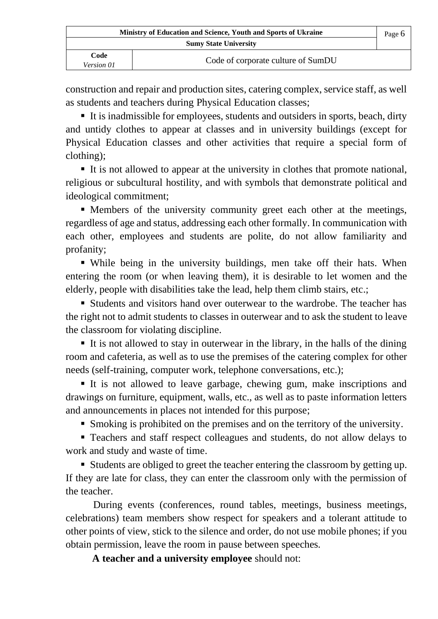| Ministry of Education and Science, Youth and Sports of Ukraine |                                    | Page 6 |
|----------------------------------------------------------------|------------------------------------|--------|
| <b>Sumy State University</b>                                   |                                    |        |
| Code<br><i>Version 01</i>                                      | Code of corporate culture of SumDU |        |

construction and repair and production sites, catering complex, service staff, as well as students and teachers during Physical Education classes;

■ It is inadmissible for employees, students and outsiders in sports, beach, dirty and untidy clothes to appear at classes and in university buildings (except for Physical Education classes and other activities that require a special form of clothing);

▪ It is not allowed to appear at the university in clothes that promote national, religious or subcultural hostility, and with symbols that demonstrate political and ideological commitment;

▪ Members of the university community greet each other at the meetings, regardless of age and status, addressing each other formally. In communication with each other, employees and students are polite, do not allow familiarity and profanity;

▪ While being in the university buildings, men take off their hats. When entering the room (or when leaving them), it is desirable to let women and the elderly, people with disabilities take the lead, help them climb stairs, etc.;

▪ Students and visitors hand over outerwear to the wardrobe. The teacher has the right not to admit students to classes in outerwear and to ask the student to leave the classroom for violating discipline.

■ It is not allowed to stay in outerwear in the library, in the halls of the dining room and cafeteria, as well as to use the premises of the сatering сomplex for other needs (self-training, computer work, telephone conversations, etc.);

▪ It is not allowed to leave garbage, chewing gum, make inscriptions and drawings on furniture, equipment, walls, etc., as well as to paste information letters and announcements in places not intended for this purpose;

■ Smoking is prohibited on the premises and on the territory of the university.

▪ Teachers and staff respect colleagues and students, do not allow delays to work and study and waste of time.

■ Students are obliged to greet the teacher entering the classroom by getting up. If they are late for class, they can enter the classroom only with the permission of the teacher.

 During events (conferences, round tables, meetings, business meetings, celebrations) team members show respect for speakers and a tolerant attitude to other points of view, stick to the silence and order, do not use mobile phones; if you obtain permission, leave the room in pause between speeches*.* 

**A teacher and a university employee** should not: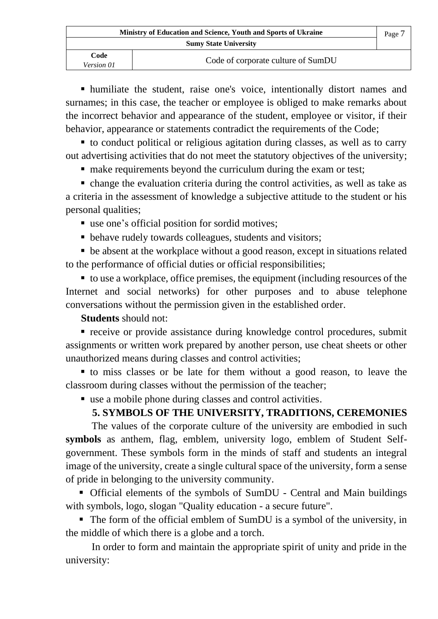| Ministry of Education and Science, Youth and Sports of Ukraine |                                    | Page 7 |
|----------------------------------------------------------------|------------------------------------|--------|
| <b>Sumy State University</b>                                   |                                    |        |
| Code<br><i>Version 01</i>                                      | Code of corporate culture of SumDU |        |

▪ humiliate the student, raise one's voice, intentionally distort names and surnames; in this case, the teacher or employee is obliged to make remarks about the incorrect behavior and appearance of the student, employee or visitor, if their behavior, appearance or statements contradict the requirements of the Code;

■ to conduct political or religious agitation during classes, as well as to carry out advertising activities that do not meet the statutory objectives of the university;

■ make requirements beyond the curriculum during the exam or test;

▪ change the evaluation criteria during the control activities, as well as take as a criteria in the assessment of knowledge a subjective attitude to the student or his personal qualities;

- use one's official position for sordid motives;
- behave rudely towards colleagues, students and visitors;

• be absent at the workplace without a good reason, except in situations related to the performance of official duties or official responsibilities;

■ to use a workplace, office premises, the equipment (including resources of the Internet and social networks) for other purposes and to abuse telephone conversations without the permission given in the established order.

**Students** should not:

■ receive or provide assistance during knowledge control procedures, submit assignments or written work prepared by another person, use cheat sheets or other unauthorized means during classes and control activities;

▪ to miss classes or be late for them without a good reason, to leave the classroom during classes without the permission of the teacher;

■ use a mobile phone during classes and control activities.

## **5. SYMBOLS OF THE UNIVERSITY, TRADITIONS, CEREMONIES**

The values of the corporate culture of the university are embodied in such **symbols** as anthem, flag, emblem, university logo, emblem of Student Selfgovernment. These symbols form in the minds of staff and students an integral image of the university, create a single cultural space of the university, form a sense of pride in belonging to the university community.

▪ Official elements of the symbols of SumDU - Central and Main buildings with symbols, logo, slogan "Quality education - a secure future".

■ The form of the official emblem of SumDU is a symbol of the university, in the middle of which there is a globe and a torch.

In order to form and maintain the appropriate spirit of unity and pride in the university: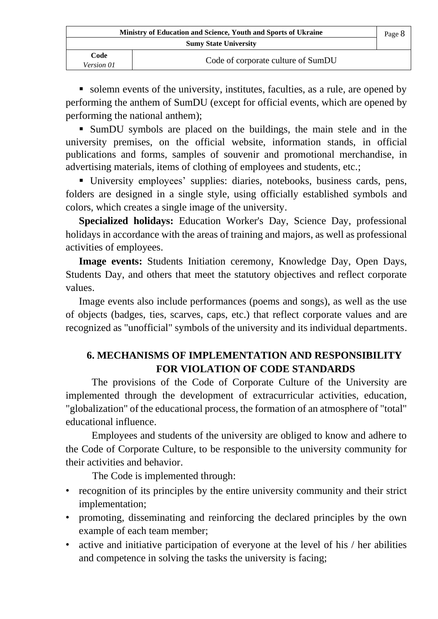| Ministry of Education and Science, Youth and Sports of Ukraine |                                    | Page 8 |
|----------------------------------------------------------------|------------------------------------|--------|
| <b>Sumy State University</b>                                   |                                    |        |
| Code<br><i>Version 01</i>                                      | Code of corporate culture of SumDU |        |

■ solemn events of the university, institutes, faculties, as a rule, are opened by performing the anthem of SumDU (except for official events, which are opened by performing the national anthem);

▪ SumDU symbols are placed on the buildings, the main stele and in the university premises, on the official website, information stands, in official publications and forms, samples of souvenir and promotional merchandise, in advertising materials, items of clothing of employees and students, etc.;

▪ University employees' supplies: diaries, notebooks, business cards, pens, folders are designed in a single style, using officially established symbols and colors, which creates a single image of the university.

**Specialized holidays:** Education Worker's Day, Science Day, professional holidays in accordance with the areas of training and majors, as well as professional activities of employees.

**Image events:** Students Initiation ceremony, Knowledge Day, Open Days, Students Day, and others that meet the statutory objectives and reflect corporate values.

Image events also include performances (poems and songs), as well as the use of objects (badges, ties, scarves, caps, etc.) that reflect corporate values and are recognized as "unofficial" symbols of the university and its individual departments.

# **6. MECHANISMS OF IMPLEMENTATION AND RESPONSIBILITY FOR VIOLATION OF CODE STANDARDS**

The provisions of the Code of Corporate Culture of the University are implemented through the development of extracurricular activities, education, "globalization" of the educational process, the formation of an atmosphere of "total" educational influence.

Employees and students of the university are obliged to know and adhere to the Code of Corporate Culture, to be responsible to the university community for their activities and behavior.

The Code is implemented through:

- recognition of its principles by the entire university community and their strict implementation;
- promoting, disseminating and reinforcing the declared principles by the own example of each team member;
- active and initiative participation of everyone at the level of his / her abilities and competence in solving the tasks the university is facing;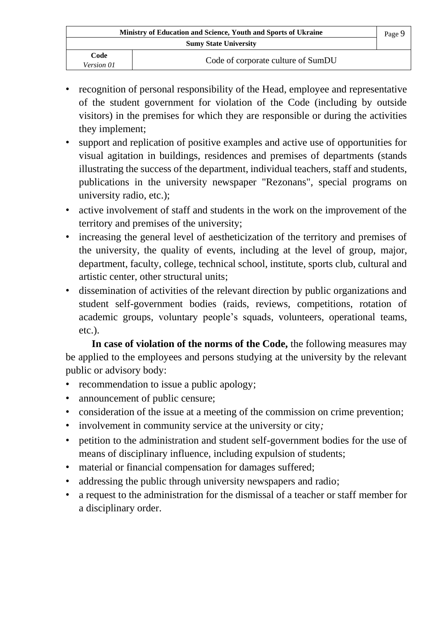| Ministry of Education and Science, Youth and Sports of Ukraine |                                    | Page 9 |
|----------------------------------------------------------------|------------------------------------|--------|
| <b>Sumy State University</b>                                   |                                    |        |
| Code<br>Version 01                                             | Code of corporate culture of SumDU |        |

- recognition of personal responsibility of the Head, employee and representative of the student government for violation of the Code (including by outside visitors) in the premises for which they are responsible or during the activities they implement;
- support and replication of positive examples and active use of opportunities for visual agitation in buildings, residences and premises of departments (stands illustrating the success of the department, individual teachers, staff and students, publications in the university newspaper "Rezonans", special programs on university radio, etc.);
- active involvement of staff and students in the work on the improvement of the territory and premises of the university;
- increasing the general level of aestheticization of the territory and premises of the university, the quality of events, including at the level of group, major, department, faculty, college, technical school, institute, sports club, cultural and artistic center, other structural units;
- dissemination of activities of the relevant direction by public organizations and student self-government bodies (raids, reviews, competitions, rotation of academic groups, voluntary people's squads, volunteers, operational teams, etc.).

**In case of violation of the norms of the Code,** the following measures may be applied to the employees and persons studying at the university by the relevant public or advisory body:

- recommendation to issue a public apology;
- announcement of public censure;
- consideration of the issue at a meeting of the commission on crime prevention;
- involvement in community service at the university or city*;*
- petition to the administration and student self-government bodies for the use of means of disciplinary influence, including expulsion of students;
- material or financial compensation for damages suffered;
- addressing the public through university newspapers and radio;
- a request to the administration for the dismissal of a teacher or staff member for a disciplinary order.